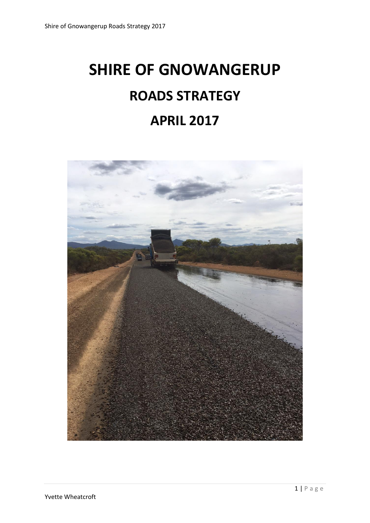# **SHIRE OF GNOWANGERUP ROADS STRATEGY APRIL 2017**

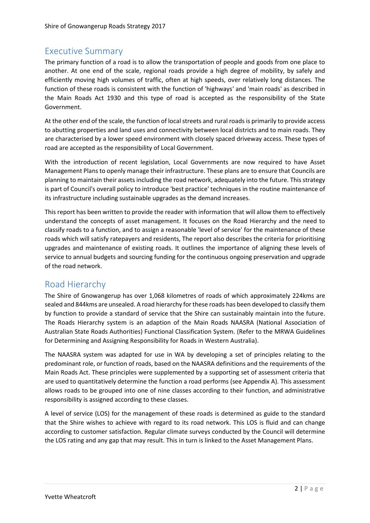#### Executive Summary

The primary function of a road is to allow the transportation of people and goods from one place to another. At one end of the scale, regional roads provide a high degree of mobility, by safely and efficiently moving high volumes of traffic, often at high speeds, over relatively long distances. The function of these roads is consistent with the function of 'highways' and 'main roads' as described in the Main Roads Act 1930 and this type of road is accepted as the responsibility of the State Government.

At the other end of the scale, the function of local streets and rural roads is primarily to provide access to abutting properties and land uses and connectivity between local districts and to main roads. They are characterised by a lower speed environment with closely spaced driveway access. These types of road are accepted as the responsibility of Local Government.

With the introduction of recent legislation, Local Governments are now required to have Asset Management Plans to openly manage their infrastructure. These plans are to ensure that Councils are planning to maintain their assets including the road network, adequately into the future. This strategy is part of Council's overall policy to introduce 'best practice' techniques in the routine maintenance of its infrastructure including sustainable upgrades as the demand increases.

This report has been written to provide the reader with information that will allow them to effectively understand the concepts of asset management. It focuses on the Road Hierarchy and the need to classify roads to a function, and to assign a reasonable 'level of service' for the maintenance of these roads which will satisfy ratepayers and residents, The report also describes the criteria for prioritising upgrades and maintenance of existing roads. It outlines the importance of aligning these levels of service to annual budgets and sourcing funding for the continuous ongoing preservation and upgrade of the road network.

#### Road Hierarchy

The Shire of Gnowangerup has over 1,068 kilometres of roads of which approximately 224kms are sealed and 844kms are unsealed. A road hierarchy for these roads has been developed to classify them by function to provide a standard of service that the Shire can sustainably maintain into the future. The Roads Hierarchy system is an adaption of the Main Roads NAASRA (National Association of Australian State Roads Authorities) Functional Classification System. (Refer to the MRWA Guidelines for Determining and Assigning Responsibility for Roads in Western Australia).

The NAASRA system was adapted for use in WA by developing a set of principles relating to the predominant role, or function of roads, based on the NAASRA definitions and the requirements of the Main Roads Act. These principles were supplemented by a supporting set of assessment criteria that are used to quantitatively determine the function a road performs (see Appendix A). This assessment allows roads to be grouped into one of nine classes according to their function, and administrative responsibility is assigned according to these classes.

A level of service (LOS) for the management of these roads is determined as guide to the standard that the Shire wishes to achieve with regard to its road network. This LOS is fluid and can change according to customer satisfaction. Regular climate surveys conducted by the Council will determine the LOS rating and any gap that may result. This in turn is linked to the Asset Management Plans.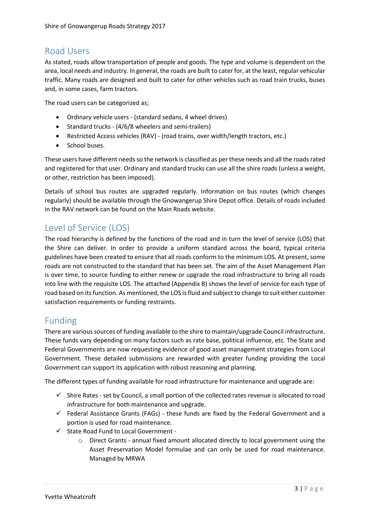#### Road Users

As stated, roads allow transportation of people and goods. The type and volume is dependent on the area, local needs and industry. In general, the roads are built to cater for, at the least, regular vehicular traffic. Many roads are designed and built to cater for other vehicles such as road train trucks, buses and, in some cases, farm tractors.

The road users can be categorized as;

- Ordinary vehicle users (standard sedans, 4 wheel drives)
- $\bullet$  Standard trucks (4/6/8 wheelers and semi-trailers)
- Restricted Access vehicles (RAV) (road trains, over width/length tractors, etc.)
- School buses.

These users have different needs so the network is classified as per these needs and all the roads rated and registered for that user. Ordinary and standard trucks can use all the shire roads (unless a weight, or other, restriction has been imposed).

Details of school bus routes are upgraded regularly. Information on bus routes (which changes regularly) should be available through the Gnowangerup Shire Depot office. Details of roads included in the RAV network can be found on the Main Roads website.

#### Level of Service (LOS)

The road hierarchy is defined by the functions of the road and in turn the level of service (LOS) that the Shire can deliver. In order to provide a uniform standard across the board, typical criteria guidelines have been created to ensure that all roads conform to the minimum LOS. At present, some roads are not constructed to the standard that has been set. The aim of the Asset Management Plan is over time, to source funding to either renew or upgrade the road infrastructure to bring all roads into line with the requisite LOS. The attached (Appendix B) shows the level of service for each type of road based on itsfunction. As mentioned, the LOS is fluid and subject to change to suit either customer satisfaction requirements or funding restraints.

### Funding

There are various sources of funding available to the shire to maintain/upgrade Council infrastructure. These funds vary depending on many factors such as rate base, political influence, etc. The State and Federal Governments are now requesting evidence of good asset management strategies from Local Government. These detailed submissions are rewarded with greater funding providing the Local Government can support its application with robust reasoning and planning.

The different types of funding available for road infrastructure for maintenance and upgrade are:

- $\checkmark$  Shire Rates set by Council, a small portion of the collected rates revenue is allocated to road infrastructure for both maintenance and upgrade.
- $\checkmark$  Federal Assistance Grants (FAGs) these funds are fixed by the Federal Government and a portion is used for road maintenance.
- $\checkmark$  State Road Fund to Local Government
	- o Direct Grants annual fixed amount allocated directly to local government using the Asset Preservation Model formulae and can only be used for road maintenance. Managed by MRWA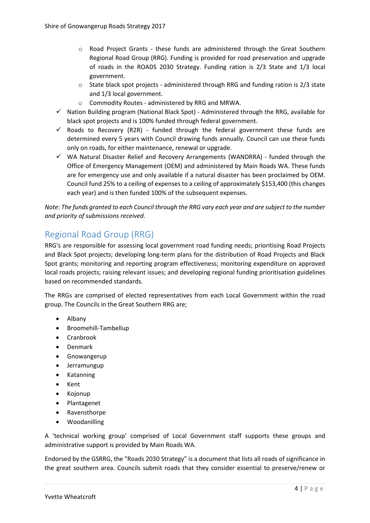- o Road Project Grants these funds are administered through the Great Southern Regional Road Group (RRG). Funding is provided for road preservation and upgrade of roads in the ROADS 2030 Strategy. Funding ration is 2/3 State and 1/3 local government.
- $\circ$  State black spot projects administered through RRG and funding ration is 2/3 state and 1/3 local government.
- o Commodity Routes administered by RRG and MRWA.
- $\checkmark$  Nation Building program (National Black Spot) Administered through the RRG, available for black spot projects and is 100% funded through federal government.
- $\checkmark$  Roads to Recovery (R2R) funded through the federal government these funds are determined every 5 years with Council drawing funds annually. Council can use these funds only on roads, for either maintenance, renewal or upgrade.
- $\checkmark$  WA Natural Disaster Relief and Recovery Arrangements (WANDRRA) funded through the Office of Emergency Management (OEM) and administered by Main Roads WA. These funds are for emergency use and only available if a natural disaster has been proclaimed by OEM. Council fund 25% to a ceiling of expenses to a ceiling of approximately \$153,400 (this changes each year) and is then funded 100% of the subsequent expenses.

*Note: The funds granted to each Council through the RRG vary each year and are subject to the number and priority of submissions received.*

## Regional Road Group (RRG)

RRG's are responsible for assessing local government road funding needs; prioritising Road Projects and Black Spot projects; developing long-term plans for the distribution of Road Projects and Black Spot grants; monitoring and reporting program effectiveness; monitoring expenditure on approved local roads projects; raising relevant issues; and developing regional funding prioritisation guidelines based on recommended standards.

The RRGs are comprised of elected representatives from each Local Government within the road group. The Councils in the Great Southern RRG are;

- Albany
- Broomehill-Tambellup
- Cranbrook
- Denmark
- **•** Gnowangerup
- Jerramungup
- Katanning
- Kent
- Kojonup
- Plantagenet
- Ravensthorpe
- Woodanilling

A 'technical working group' comprised of Local Government staff supports these groups and administrative support is provided by Main Roads WA.

Endorsed by the GSRRG, the "Roads 2030 Strategy" is a document that lists all roads of significance in the great southern area. Councils submit roads that they consider essential to preserve/renew or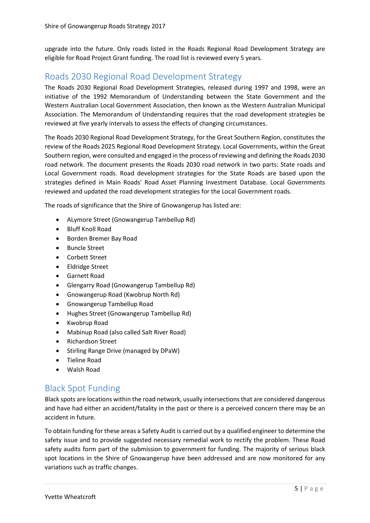upgrade into the future. Only roads listed in the Roads Regional Road Development Strategy are eligible for Road Project Grant funding. The road list is reviewed every 5 years.

#### Roads 2030 Regional Road Development Strategy

The Roads 2030 Regional Road Development Strategies, released during 1997 and 1998, were an initiative of the 1992 Memorandum of Understanding between the State Government and the Western Australian Local Government Association, then known as the Western Australian Municipal Association. The Memorandum of Understanding requires that the road development strategies be reviewed at five yearly intervals to assess the effects of changing circumstances.

The Roads 2030 Regional Road Development Strategy, for the Great Southern Region, constitutes the review of the Roads 2025 Regional Road Development Strategy. Local Governments, within the Great Southern region, were consulted and engaged in the process of reviewing and defining the Roads 2030 road network. The document presents the Roads 2030 road network in two parts: State roads and Local Government roads. Road development strategies for the State Roads are based upon the strategies defined in Main Roads' Road Asset Planning Investment Database. Local Governments reviewed and updated the road development strategies for the Local Government roads.

The roads of significance that the Shire of Gnowangerup has listed are:

- ALymore Street (Gnowangerup Tambellup Rd)
- Bluff Knoll Road
- Borden Bremer Bay Road
- Buncle Street
- Corbett Street
- Eldridge Street
- Garnett Road
- Glengarry Road (Gnowangerup Tambellup Rd)
- Gnowangerup Road (Kwobrup North Rd)
- Gnowangerup Tambellup Road
- Hughes Street (Gnowangerup Tambellup Rd)
- Kwobrup Road
- Mabinup Road (also called Salt River Road)
- Richardson Street
- Stirling Range Drive (managed by DPaW)
- Tieline Road
- Walsh Road

#### Black Spot Funding

Black spots are locations within the road network, usually intersections that are considered dangerous and have had either an accident/fatality in the past or there is a perceived concern there may be an accident in future.

To obtain funding for these areas a Safety Audit is carried out by a qualified engineer to determine the safety issue and to provide suggested necessary remedial work to rectify the problem. These Road safety audits form part of the submission to government for funding. The majority of serious black spot locations in the Shire of Gnowangerup have been addressed and are now monitored for any variations such as traffic changes.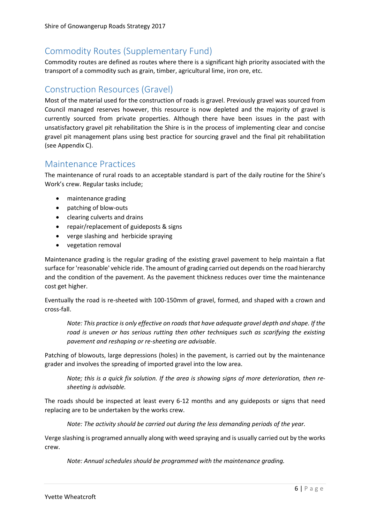## Commodity Routes (Supplementary Fund)

Commodity routes are defined as routes where there is a significant high priority associated with the transport of a commodity such as grain, timber, agricultural lime, iron ore, etc.

#### Construction Resources (Gravel)

Most of the material used for the construction of roads is gravel. Previously gravel was sourced from Council managed reserves however, this resource is now depleted and the majority of gravel is currently sourced from private properties. Although there have been issues in the past with unsatisfactory gravel pit rehabilitation the Shire is in the process of implementing clear and concise gravel pit management plans using best practice for sourcing gravel and the final pit rehabilitation (see Appendix C).

#### Maintenance Practices

The maintenance of rural roads to an acceptable standard is part of the daily routine for the Shire's Work's crew. Regular tasks include;

- maintenance grading
- patching of blow-outs
- clearing culverts and drains
- repair/replacement of guideposts & signs
- verge slashing and herbicide spraying
- vegetation removal

Maintenance grading is the regular grading of the existing gravel pavement to help maintain a flat surface for 'reasonable' vehicle ride. The amount of grading carried out depends on the road hierarchy and the condition of the pavement. As the pavement thickness reduces over time the maintenance cost get higher.

Eventually the road is re-sheeted with 100-150mm of gravel, formed, and shaped with a crown and cross-fall.

*Note: This practice is only effective on roads that have adequate gravel depth and shape. If the road is uneven or has serious rutting then other techniques such as scarifying the existing pavement and reshaping or re-sheeting are advisable*.

Patching of blowouts, large depressions (holes) in the pavement, is carried out by the maintenance grader and involves the spreading of imported gravel into the low area.

*Note; this is a quick fix solution. If the area is showing signs of more deterioration, then resheeting is advisable.*

The roads should be inspected at least every 6-12 months and any guideposts or signs that need replacing are to be undertaken by the works crew.

*Note: The activity should be carried out during the less demanding periods of the year.*

Verge slashing is programed annually along with weed spraying and is usually carried out by the works crew.

*Note: Annual schedules should be programmed with the maintenance grading.*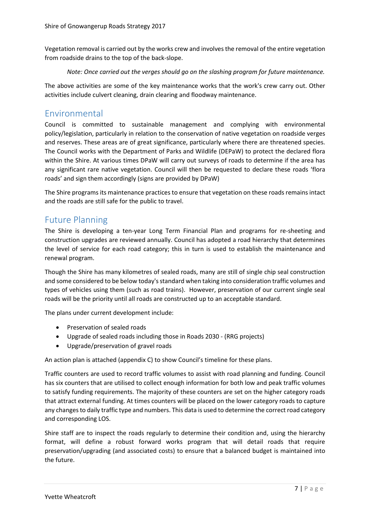Vegetation removal is carried out by the works crew and involves the removal of the entire vegetation from roadside drains to the top of the back-slope.

#### *Note: Once carried out the verges should go on the slashing program for future maintenance.*

The above activities are some of the key maintenance works that the work's crew carry out. Other activities include culvert cleaning, drain clearing and floodway maintenance.

#### Environmental

Council is committed to sustainable management and complying with environmental policy/legislation, particularly in relation to the conservation of native vegetation on roadside verges and reserves. These areas are of great significance, particularly where there are threatened species. The Council works with the Department of Parks and Wildlife (DEPaW) to protect the declared flora within the Shire. At various times DPaW will carry out surveys of roads to determine if the area has any significant rare native vegetation. Council will then be requested to declare these roads 'flora roads' and sign them accordingly (signs are provided by DPaW)

The Shire programs its maintenance practices to ensure that vegetation on these roads remains intact and the roads are still safe for the public to travel.

#### Future Planning

The Shire is developing a ten-year Long Term Financial Plan and programs for re-sheeting and construction upgrades are reviewed annually. Council has adopted a road hierarchy that determines the level of service for each road category; this in turn is used to establish the maintenance and renewal program.

Though the Shire has many kilometres of sealed roads, many are still of single chip seal construction and some considered to be below today's standard when taking into consideration traffic volumes and types of vehicles using them (such as road trains). However, preservation of our current single seal roads will be the priority until all roads are constructed up to an acceptable standard.

The plans under current development include:

- Preservation of sealed roads
- Upgrade of sealed roads including those in Roads 2030 (RRG projects)
- Upgrade/preservation of gravel roads

An action plan is attached (appendix C) to show Council's timeline for these plans.

Traffic counters are used to record traffic volumes to assist with road planning and funding. Council has six counters that are utilised to collect enough information for both low and peak traffic volumes to satisfy funding requirements. The majority of these counters are set on the higher category roads that attract external funding. At times counters will be placed on the lower category roads to capture any changes to daily traffic type and numbers. This data is used to determine the correct road category and corresponding LOS.

Shire staff are to inspect the roads regularly to determine their condition and, using the hierarchy format, will define a robust forward works program that will detail roads that require preservation/upgrading (and associated costs) to ensure that a balanced budget is maintained into the future.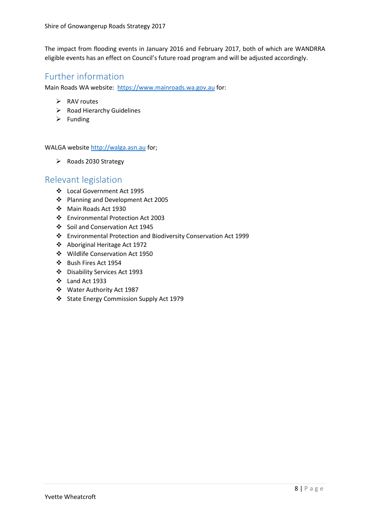The impact from flooding events in January 2016 and February 2017, both of which are WANDRRA eligible events has an effect on Council's future road program and will be adjusted accordingly.

#### Further information

Main Roads WA website: [https://www.mainroads.wa.gov.au](https://www.mainroads.wa.gov.au/) for:

- $\triangleright$  RAV routes
- $\triangleright$  Road Hierarchy Guidelines
- $\triangleright$  Funding

WALGA website [http://walga.asn.au](http://walga.asn.au/) for;

 $\triangleright$  Roads 2030 Strategy

#### Relevant legislation

- Local Government Act 1995
- Planning and Development Act 2005
- Main Roads Act 1930
- Environmental Protection Act 2003
- Soil and Conservation Act 1945
- Environmental Protection and Biodiversity Conservation Act 1999
- Aboriginal Heritage Act 1972
- Wildlife Conservation Act 1950
- Bush Fires Act 1954
- Disability Services Act 1993
- $\div$  Land Act 1933
- Water Authority Act 1987
- State Energy Commission Supply Act 1979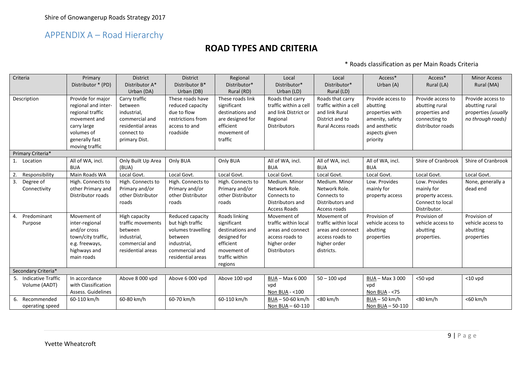# APPENDIX A – Road Hierarchy

#### **ROAD TYPES AND CRITERIA**

\* Roads classification as per Main Roads Criteria

| Criteria                               | Primary<br>Distributor * (PD)                                                                                                                 | <b>District</b><br>Distributor A*                                                                             | <b>District</b><br>Distributor B*                                                                                           | Regional<br>Distributor*                                                                                                  | Local<br>Distributor*                                                                                              | Local<br>Distributor*                                                                                       | Access*<br>Urban (A)                                                                                              | Access*<br>Rural (LA)                                                                       | <b>Minor Access</b><br>Rural (MA)                                               |
|----------------------------------------|-----------------------------------------------------------------------------------------------------------------------------------------------|---------------------------------------------------------------------------------------------------------------|-----------------------------------------------------------------------------------------------------------------------------|---------------------------------------------------------------------------------------------------------------------------|--------------------------------------------------------------------------------------------------------------------|-------------------------------------------------------------------------------------------------------------|-------------------------------------------------------------------------------------------------------------------|---------------------------------------------------------------------------------------------|---------------------------------------------------------------------------------|
|                                        |                                                                                                                                               | Urban (DA)                                                                                                    | Urban (DB)                                                                                                                  | Rural (RD)                                                                                                                | Urban (LD)                                                                                                         | Rural (LD)                                                                                                  |                                                                                                                   |                                                                                             |                                                                                 |
| Description                            | Provide for major<br>regional and inter-<br>regional traffic<br>movement and<br>carry large<br>volumes of<br>generally fast<br>moving traffic | Carry traffic<br>between<br>industrial,<br>commercial and<br>residential areas<br>connect to<br>primary Dist. | These roads have<br>reduced capacity<br>due to flow<br>restrictions from<br>access to and<br>roadside                       | These roads link<br>significant<br>destinations and<br>are designed for<br>efficient<br>movement of<br>traffic            | Roads that carry<br>traffic within a cell<br>and link District or<br>Regional<br><b>Distributors</b>               | Roads that carry<br>traffic within a cell<br>and link Rural<br>District and to<br><b>Rural Access roads</b> | Provide access to<br>abutting<br>properties with<br>amenity, safety<br>and aesthetic<br>aspects given<br>priority | Provide access to<br>abutting rural<br>properties and<br>connecting to<br>distributor roads | Provide access to<br>abutting rural<br>properties (usually<br>no through roads) |
| Primary Criteria*                      |                                                                                                                                               |                                                                                                               |                                                                                                                             |                                                                                                                           |                                                                                                                    |                                                                                                             |                                                                                                                   |                                                                                             |                                                                                 |
| 1. Location                            | All of WA, incl.<br><b>BUA</b>                                                                                                                | Only Built Up Area<br>(BUA)                                                                                   | Only BUA                                                                                                                    | Only BUA                                                                                                                  | All of WA, incl.<br><b>BUA</b>                                                                                     | All of WA, incl.<br><b>BUA</b>                                                                              | All of WA, incl.<br><b>BUA</b>                                                                                    | Shire of Cranbrook                                                                          | Shire of Cranbrook                                                              |
| Responsibility                         | Main Roads WA                                                                                                                                 | Local Govt.                                                                                                   | Local Govt.                                                                                                                 | Local Govt.                                                                                                               | Local Govt.                                                                                                        | Local Govt.                                                                                                 | Local Govt.                                                                                                       | Local Govt.                                                                                 | Local Govt.                                                                     |
| 3.<br>Degree of<br>Connectivity        | High. Connects to<br>other Primary and<br>Distributor roads                                                                                   | High. Connects to<br>Primary and/or<br>other Distributor<br>roads                                             | High. Connects to<br>Primary and/or<br>other Distributor<br>roads                                                           | High. Connects to<br>Primary and/or<br>other Distributor<br>roads                                                         | Medium. Minor<br>Network Role.<br>Connects to<br>Distributors and<br><b>Access Roads</b>                           | Medium. Minor<br>Network Role.<br>Connects to<br>Distributors and<br>Access roads                           | Low. Provides<br>mainly for<br>property access                                                                    | Low. Provides<br>mainly for<br>property access.<br>Connect to local<br>Distributor.         | None, generally a<br>dead end                                                   |
| Predominant<br>$\mathbf{A}$<br>Purpose | Movement of<br>inter-regional<br>and/or cross<br>town/city traffic,<br>e.g. freeways,<br>highways and<br>main roads                           | High capacity<br>traffic movements<br>between<br>industrial,<br>commercial and<br>residential areas           | Reduced capacity<br>but high traffic<br>volumes travelling<br>between<br>industrial,<br>commercial and<br>residential areas | Roads linking<br>significant<br>destinations and<br>designed for<br>efficient<br>movement of<br>traffic within<br>regions | Movement of<br>traffic within local<br>areas and connect<br>access roads to<br>higher order<br><b>Distributors</b> | Movement of<br>traffic within local<br>areas and connect<br>access roads to<br>higher order<br>districts.   | Provision of<br>vehicle access to<br>abutting<br>properties                                                       | Provision of<br>vehicle access to<br>abutting<br>properties.                                | Provision of<br>vehicle access to<br>abutting<br>properties                     |
| Secondary Criteria*                    |                                                                                                                                               |                                                                                                               |                                                                                                                             |                                                                                                                           |                                                                                                                    |                                                                                                             |                                                                                                                   |                                                                                             |                                                                                 |
| 5. Indicative Traffic<br>Volume (AADT) | In accordance<br>with Classification<br>Assess. Guidelines                                                                                    | Above 8 000 vpd                                                                                               | Above 6 000 vpd                                                                                                             | Above 100 vpd                                                                                                             | BUA - Max 6 000<br>vpd<br>Non BUA - < 100                                                                          | $50 - 100$ vpd                                                                                              | BUA - Max 3 000<br>vpd<br>Non BUA - <75                                                                           | $<$ 50 vpd                                                                                  | $<$ 10 vpd                                                                      |
| 6. Recommended<br>operating speed      | 60-110 km/h                                                                                                                                   | 60-80 km/h                                                                                                    | 60-70 km/h                                                                                                                  | 60-110 km/h                                                                                                               | BUA-50-60 km/h<br>Non BUA - 60-110                                                                                 | <80 km/h                                                                                                    | $BUA - 50 km/h$<br>Non BUA - 50-110                                                                               | <80 km/h                                                                                    | <60 km/h                                                                        |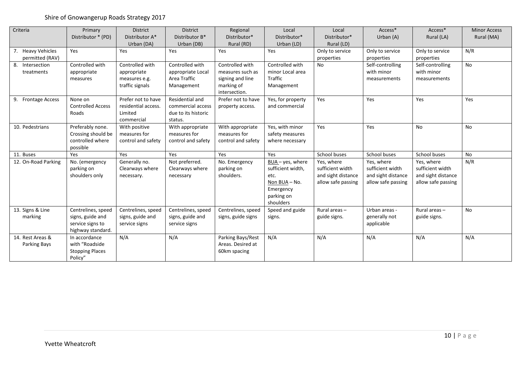#### Shire of Gnowangerup Roads Strategy 2017

| Criteria                             | Primary<br>Distributor * (PD)                                                   | District<br>Distributor A*<br>Urban (DA)                           | <b>District</b><br>Distributor B*<br>Urban (DB)                        | Regional<br>Distributor*<br>Rural (RD)                                                 | Local<br>Distributor*<br>Urban (LD)                                                                       | Local<br>Distributor*<br>Rural (LD)                                        | Access*<br>Urban (A)                                                       | Access*<br>Rural (LA)                                                      | <b>Minor Access</b><br>Rural (MA) |
|--------------------------------------|---------------------------------------------------------------------------------|--------------------------------------------------------------------|------------------------------------------------------------------------|----------------------------------------------------------------------------------------|-----------------------------------------------------------------------------------------------------------|----------------------------------------------------------------------------|----------------------------------------------------------------------------|----------------------------------------------------------------------------|-----------------------------------|
| 7. Heavy Vehicles<br>permitted (RAV) | Yes                                                                             | Yes                                                                | Yes                                                                    | Yes                                                                                    | Yes                                                                                                       | Only to service<br>properties                                              | Only to service<br>properties                                              | Only to service<br>properties                                              | N/R                               |
| 8. Intersection<br>treatments        | Controlled with<br>appropriate<br>measures                                      | Controlled with<br>appropriate<br>measures e.g.<br>traffic signals | Controlled with<br>appropriate Local<br>Area Traffic<br>Management     | Controlled with<br>measures such as<br>signing and line<br>marking of<br>intersection. | Controlled with<br>minor Local area<br>Traffic<br>Management                                              | <b>No</b>                                                                  | Self-controlling<br>with minor<br>measurements                             | Self-controlling<br>with minor<br>measurements                             | <b>No</b>                         |
| 9. Frontage Access                   | None on<br><b>Controlled Access</b><br>Roads                                    | Prefer not to have<br>residential access.<br>Limited<br>commercial | Residential and<br>commercial access<br>due to its historic<br>status. | Prefer not to have<br>property access.                                                 | Yes, for property<br>and commercial                                                                       | Yes                                                                        | Yes                                                                        | Yes                                                                        | Yes                               |
| 10. Pedestrians                      | Preferably none.<br>Crossing should be<br>controlled where<br>possible          | With positive<br>measures for<br>control and safety                | With appropriate<br>measures for<br>control and safety                 | With appropriate<br>measures for<br>control and safety                                 | Yes, with minor<br>safety measures<br>where necessary                                                     | Yes                                                                        | Yes                                                                        | No                                                                         | <b>No</b>                         |
| 11. Buses                            | Yes                                                                             | Yes                                                                | Yes                                                                    | Yes                                                                                    | Yes                                                                                                       | School buses                                                               | School buses                                                               | School buses                                                               | <b>No</b>                         |
| 12. On-Road Parking                  | No. (emergency<br>parking on<br>shoulders only                                  | Generally no.<br>Clearways where<br>necessary.                     | Not preferred.<br>Clearways where<br>necessary                         | No. Emergency<br>parking on<br>shoulders.                                              | $BUA - yes$ , where<br>sufficient width,<br>etc.<br>Non BUA - No.<br>Emergency<br>parking on<br>shoulders | Yes, where<br>sufficient width<br>and sight distance<br>allow safe passing | Yes, where<br>sufficient width<br>and sight distance<br>allow safe passing | Yes, where<br>sufficient width<br>and sight distance<br>allow safe passing | N/R                               |
| 13. Signs & Line<br>marking          | Centrelines, speed<br>signs, guide and<br>service signs to<br>highway standard. | Centrelines, speed<br>signs, guide and<br>service signs            | Centrelines, speed<br>signs, guide and<br>service signs                | Centrelines, speed<br>signs, guide signs                                               | Speed and guide<br>signs.                                                                                 | Rural areas $-$<br>guide signs.                                            | Urban areas -<br>generally not<br>applicable                               | Rural areas $-$<br>guide signs.                                            | <b>No</b>                         |
| 14. Rest Areas &<br>Parking Bays     | In accordance<br>with "Roadside<br><b>Stopping Places</b><br>Policy"            | N/A                                                                | N/A                                                                    | Parking Bays/Rest<br>Areas. Desired at<br>60km spacing                                 | N/A                                                                                                       | N/A                                                                        | N/A                                                                        | N/A                                                                        | N/A                               |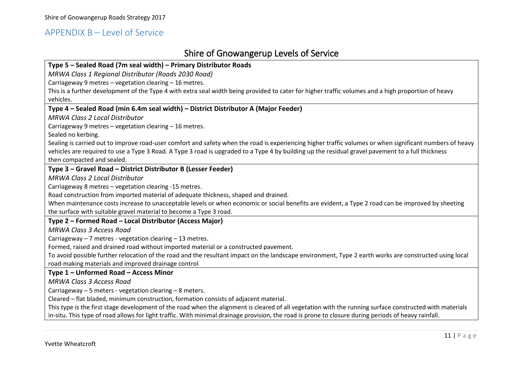#### APPENDIX B – Level of Service

## Shire of Gnowangerup Levels of Service

| Type 5 - Sealed Road (7m seal width) - Primary Distributor Roads                                                                                         |
|----------------------------------------------------------------------------------------------------------------------------------------------------------|
| MRWA Class 1 Regional Distributor (Roads 2030 Road)                                                                                                      |
| Carriageway 9 metres - vegetation clearing - 16 metres.                                                                                                  |
| This is a further development of the Type 4 with extra seal width being provided to cater for higher traffic volumes and a high proportion of heavy      |
| vehicles.                                                                                                                                                |
| Type 4 - Sealed Road (min 6.4m seal width) - District Distributor A (Major Feeder)                                                                       |
| <b>MRWA Class 2 Local Distributor</b>                                                                                                                    |
| Carriageway 9 metres - vegetation clearing - 16 metres.                                                                                                  |
| Sealed no kerbing.                                                                                                                                       |
| Sealing is carried out to improve road-user comfort and safety when the road is experiencing higher traffic volumes or when significant numbers of heavy |
| vehicles are required to use a Type 3 Road. A Type 3 road is upgraded to a Type 4 by building up the residual gravel pavement to a full thickness        |
| then compacted and sealed.                                                                                                                               |
| Type 3 - Gravel Road - District Distributor B (Lesser Feeder)                                                                                            |
| <b>MRWA Class 2 Local Distributor</b>                                                                                                                    |
| Carriageway 8 metres - vegetation clearing -15 metres.                                                                                                   |
| Road construction from imported material of adequate thickness, shaped and drained.                                                                      |
| When maintenance costs increase to unacceptable levels or when economic or social benefits are evident, a Type 2 road can be improved by sheeting        |
| the surface with suitable gravel material to become a Type 3 road.                                                                                       |
| Type 2 - Formed Road - Local Distributor (Access Major)                                                                                                  |
| <b>MRWA Class 3 Access Road</b>                                                                                                                          |
| Carriageway - 7 metres - vegetation clearing - 13 metres.                                                                                                |
| Formed, raised and drained road without imported material or a constructed pavement.                                                                     |
| To avoid possible further relocation of the road and the resultant impact on the landscape environment, Type 2 earth works are constructed using local   |
| road-making materials and improved drainage control                                                                                                      |
| Type 1 - Unformed Road - Access Minor                                                                                                                    |
| <b>MRWA Class 3 Access Road</b>                                                                                                                          |
| Carriageway $-5$ meters - vegetation clearing $-8$ meters.                                                                                               |
| Cleared - flat bladed, minimum construction, formation consists of adjacent material.                                                                    |
| This type is the first stage development of the road when the alignment is cleared of all vegetation with the running surface constructed with materials |
| in-situ. This type of road allows for light traffic. With minimal drainage provision, the road is prone to closure during periods of heavy rainfall.     |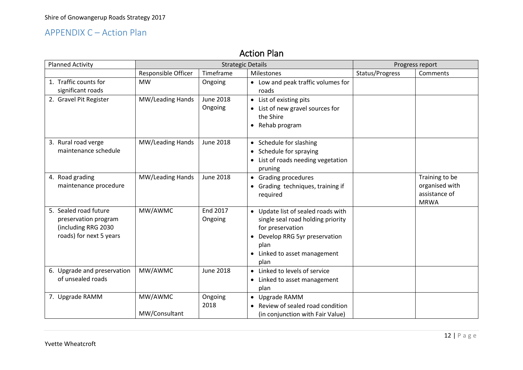## APPENDIX C – Action Plan

## Action Plan

| <b>Planned Activity</b>                                                                         |                          | <b>Strategic Details</b>    | Progress report                                                                                                                                                               |                 |                                                                  |
|-------------------------------------------------------------------------------------------------|--------------------------|-----------------------------|-------------------------------------------------------------------------------------------------------------------------------------------------------------------------------|-----------------|------------------------------------------------------------------|
|                                                                                                 | Responsible Officer      | Timeframe                   | Milestones                                                                                                                                                                    | Status/Progress | Comments                                                         |
| 1. Traffic counts for<br>significant roads                                                      | <b>MW</b>                | Ongoing                     | • Low and peak traffic volumes for<br>roads                                                                                                                                   |                 |                                                                  |
| 2. Gravel Pit Register                                                                          | MW/Leading Hands         | <b>June 2018</b><br>Ongoing | • List of existing pits<br>• List of new gravel sources for<br>the Shire<br>• Rehab program                                                                                   |                 |                                                                  |
| 3. Rural road verge<br>maintenance schedule                                                     | MW/Leading Hands         | <b>June 2018</b>            | • Schedule for slashing<br>• Schedule for spraying<br>• List of roads needing vegetation<br>pruning                                                                           |                 |                                                                  |
| 4. Road grading<br>maintenance procedure                                                        | MW/Leading Hands         | <b>June 2018</b>            | • Grading procedures<br>• Grading techniques, training if<br>required                                                                                                         |                 | Training to be<br>organised with<br>assistance of<br><b>MRWA</b> |
| 5. Sealed road future<br>preservation program<br>(including RRG 2030<br>roads) for next 5 years | MW/AWMC                  | <b>End 2017</b><br>Ongoing  | • Update list of sealed roads with<br>single seal road holding priority<br>for preservation<br>• Develop RRG 5yr preservation<br>plan<br>• Linked to asset management<br>plan |                 |                                                                  |
| 6. Upgrade and preservation<br>of unsealed roads                                                | MW/AWMC                  | <b>June 2018</b>            | • Linked to levels of service<br>• Linked to asset management<br>plan                                                                                                         |                 |                                                                  |
| 7. Upgrade RAMM                                                                                 | MW/AWMC<br>MW/Consultant | Ongoing<br>2018             | • Upgrade RAMM<br>• Review of sealed road condition<br>(in conjunction with Fair Value)                                                                                       |                 |                                                                  |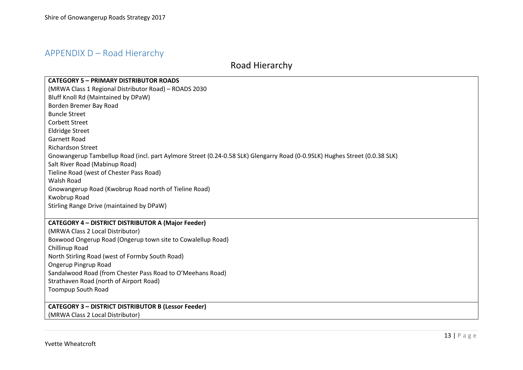## APPENDIX D – Road Hierarchy

## Road Hierarchy

| <b>CATEGORY 5 - PRIMARY DISTRIBUTOR ROADS</b>                                                                              |
|----------------------------------------------------------------------------------------------------------------------------|
| (MRWA Class 1 Regional Distributor Road) - ROADS 2030                                                                      |
| Bluff Knoll Rd (Maintained by DPaW)                                                                                        |
| Borden Bremer Bay Road                                                                                                     |
| <b>Buncle Street</b>                                                                                                       |
| <b>Corbett Street</b>                                                                                                      |
| <b>Eldridge Street</b>                                                                                                     |
| <b>Garnett Road</b>                                                                                                        |
| <b>Richardson Street</b>                                                                                                   |
| Gnowangerup Tambellup Road (incl. part Aylmore Street (0.24-0.58 SLK) Glengarry Road (0-0.9SLK) Hughes Street (0.0.38 SLK) |
| Salt River Road (Mabinup Road)                                                                                             |
| Tieline Road (west of Chester Pass Road)                                                                                   |
| <b>Walsh Road</b>                                                                                                          |
| Gnowangerup Road (Kwobrup Road north of Tieline Road)                                                                      |
| Kwobrup Road                                                                                                               |
| Stirling Range Drive (maintained by DPaW)                                                                                  |
|                                                                                                                            |
| <b>CATEGORY 4 - DISTRICT DISTRIBUTOR A (Major Feeder)</b>                                                                  |
| (MRWA Class 2 Local Distributor)                                                                                           |
| Boxwood Ongerup Road (Ongerup town site to Cowalellup Road)                                                                |
| Chillinup Road                                                                                                             |
| North Stirling Road (west of Formby South Road)                                                                            |
| Ongerup Pingrup Road                                                                                                       |
| Sandalwood Road (from Chester Pass Road to O'Meehans Road)                                                                 |
| Strathaven Road (north of Airport Road)                                                                                    |
| <b>Toompup South Road</b>                                                                                                  |
|                                                                                                                            |
| <b>CATEGORY 3 - DISTRICT DISTRIBUTOR B (Lessor Feeder)</b>                                                                 |
| (MRWA Class 2 Local Distributor)                                                                                           |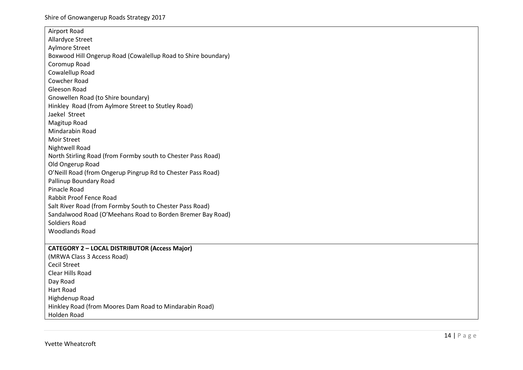| Airport Road                                                  |
|---------------------------------------------------------------|
| Allardyce Street                                              |
| <b>Aylmore Street</b>                                         |
| Boxwood Hill Ongerup Road (Cowalellup Road to Shire boundary) |
| Coromup Road                                                  |
| Cowalellup Road                                               |
| Cowcher Road                                                  |
| <b>Gleeson Road</b>                                           |
| Gnowellen Road (to Shire boundary)                            |
| Hinkley Road (from Aylmore Street to Stutley Road)            |
| Jaekel Street                                                 |
| Magitup Road                                                  |
| Mindarabin Road                                               |
| <b>Moir Street</b>                                            |
| Nightwell Road                                                |
| North Stirling Road (from Formby south to Chester Pass Road)  |
| Old Ongerup Road                                              |
| O'Neill Road (from Ongerup Pingrup Rd to Chester Pass Road)   |
| Pallinup Boundary Road                                        |
| <b>Pinacle Road</b>                                           |
| Rabbit Proof Fence Road                                       |
| Salt River Road (from Formby South to Chester Pass Road)      |
| Sandalwood Road (O'Meehans Road to Borden Bremer Bay Road)    |
| Soldiers Road                                                 |
| <b>Woodlands Road</b>                                         |
|                                                               |
| <b>CATEGORY 2 - LOCAL DISTRIBUTOR (Access Major)</b>          |
| (MRWA Class 3 Access Road)                                    |
| <b>Cecil Street</b>                                           |
| Clear Hills Road                                              |
| Day Road                                                      |
| <b>Hart Road</b>                                              |
| Highdenup Road                                                |
| Hinkley Road (from Moores Dam Road to Mindarabin Road)        |
| Holden Road                                                   |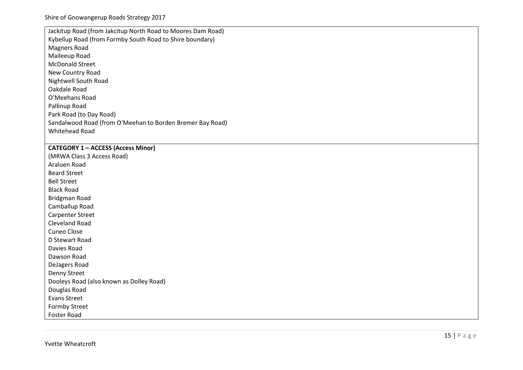| Jackitup Road (from Jakcitup North Road to Moores Dam Road) |
|-------------------------------------------------------------|
| Kybellup Road (from Formby South Road to Shire boundary)    |
| <b>Magners Road</b>                                         |
| Maileeup Road                                               |
| <b>McDonald Street</b>                                      |
| New Country Road                                            |
| Nightwell South Road                                        |
| Oakdale Road                                                |
| O'Meehans Road                                              |
| Pallinup Road                                               |
| Park Road (to Day Road)                                     |
| Sandalwood Road (from O'Meehan to Borden Bremer Bay Road)   |
| Whitehead Road                                              |
|                                                             |

#### **CATEGORY 1 – ACCESS (Access Minor )**

(MRWA Class 3 Access Road) Araluen Roa d Beard Street Bell Street Black Road Bridgman Roa d Camballup Roa d Carpenter Street Cleveland Roa d Cuneo Close D Stewart Roa d Davies Roa d Dawson Roa d DeJagers Roa d Denny Street Dooleys Road (also known as Dolley Road) Douglas Road Evans Street Formby Street Foster Roa d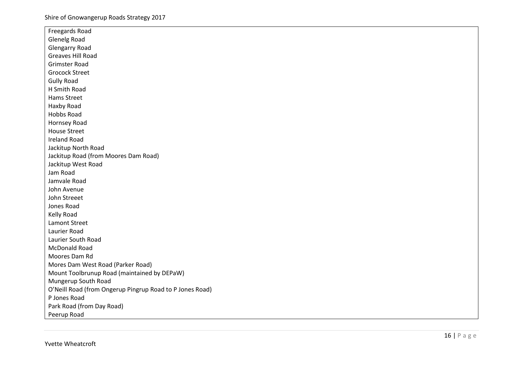| Freegards Road                                           |
|----------------------------------------------------------|
| <b>Glenelg Road</b>                                      |
| <b>Glengarry Road</b>                                    |
| Greaves Hill Road                                        |
| <b>Grimster Road</b>                                     |
| <b>Grocock Street</b>                                    |
| <b>Gully Road</b>                                        |
| H Smith Road                                             |
| Hams Street                                              |
| Haxby Road                                               |
| Hobbs Road                                               |
| Hornsey Road                                             |
| <b>House Street</b>                                      |
| <b>Ireland Road</b>                                      |
| Jackitup North Road                                      |
| Jackitup Road (from Moores Dam Road)                     |
| Jackitup West Road                                       |
| Jam Road                                                 |
| Jamvale Road                                             |
| John Avenue                                              |
| John Streeet                                             |
| Jones Road                                               |
| Kelly Road                                               |
| <b>Lamont Street</b>                                     |
| Laurier Road                                             |
| Laurier South Road                                       |
| <b>McDonald Road</b>                                     |
| Moores Dam Rd                                            |
| Mores Dam West Road (Parker Road)                        |
| Mount Toolbrunup Road (maintained by DEPaW)              |
| Mungerup South Road                                      |
| O'Neill Road (from Ongerup Pingrup Road to P Jones Road) |
| P Jones Road                                             |
| Park Road (from Day Road)                                |
| Peerup Road                                              |